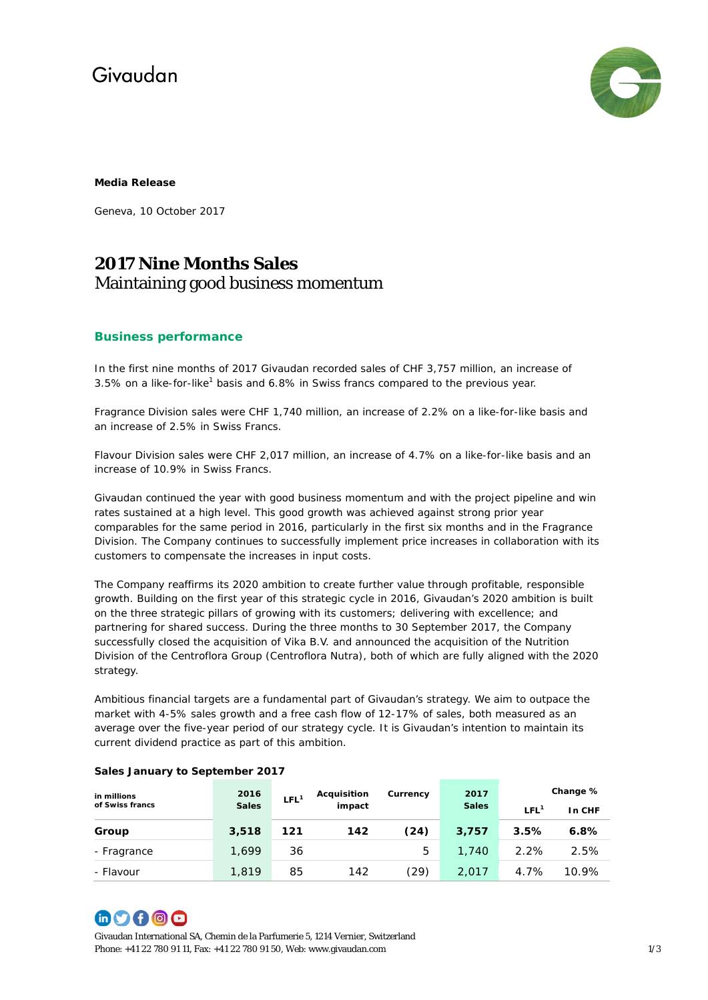### Givaudan



#### **Media Release**

Geneva, 10 October 2017

### **2017 Nine Months Sales** Maintaining good business momentum

#### **Business performance**

In the first nine months of 2017 Givaudan recorded sales of CHF 3,757 million, an increase of 3.5% on a like-for-like<sup>1</sup> basis and 6.8% in Swiss francs compared to the previous year.

Fragrance Division sales were CHF 1,740 million, an increase of 2.2% on a like-for-like basis and an increase of 2.5% in Swiss Francs.

Flavour Division sales were CHF 2,017 million, an increase of 4.7% on a like-for-like basis and an increase of 10.9% in Swiss Francs.

Givaudan continued the year with good business momentum and with the project pipeline and win rates sustained at a high level. This good growth was achieved against strong prior year comparables for the same period in 2016, particularly in the first six months and in the Fragrance Division. The Company continues to successfully implement price increases in collaboration with its customers to compensate the increases in input costs.

The Company reaffirms its 2020 ambition to create further value through profitable, responsible growth. Building on the first year of this strategic cycle in 2016, Givaudan's 2020 ambition is built on the three strategic pillars of growing with its customers; delivering with excellence; and partnering for shared success. During the three months to 30 September 2017, the Company successfully closed the acquisition of Vika B.V. and announced the acquisition of the Nutrition Division of the Centroflora Group (Centroflora Nutra), both of which are fully aligned with the 2020 strategy.

Ambitious financial targets are a fundamental part of Givaudan's strategy. We aim to outpace the market with 4-5% sales growth and a free cash flow of 12-17% of sales, both measured as an average over the five-year period of our strategy cycle. It is Givaudan's intention to maintain its current dividend practice as part of this ambition.

| in millions<br>of Swiss francs | 2016         | LFL <sup>1</sup> | <b>Acquisition</b><br>impact | Currency | 2017<br><b>Sales</b> | Change %         |        |
|--------------------------------|--------------|------------------|------------------------------|----------|----------------------|------------------|--------|
|                                | <b>Sales</b> |                  |                              |          |                      | LEL <sup>1</sup> | In CHF |
| Group                          | 3,518        | 121              | 142                          | (24)     | 3,757                | 3.5%             | 6.8%   |
| - Fragrance                    | 1.699        | 36               |                              | 5        | 1,740                | 2.2%             | 2.5%   |
| - Flavour                      | 1,819        | 85               | 142                          | (29)     | 2,017                | 4.7%             | 10.9%  |

### **Sales January to September 2017**

# **60000**

Givaudan International SA, Chemin de la Parfumerie 5, 1214 Vernier, Switzerland Phone: +41 22 780 91 11, Fax: +41 22 780 91 50, Web[: www.givaudan.com](http://www.givaudan.com/) 1/3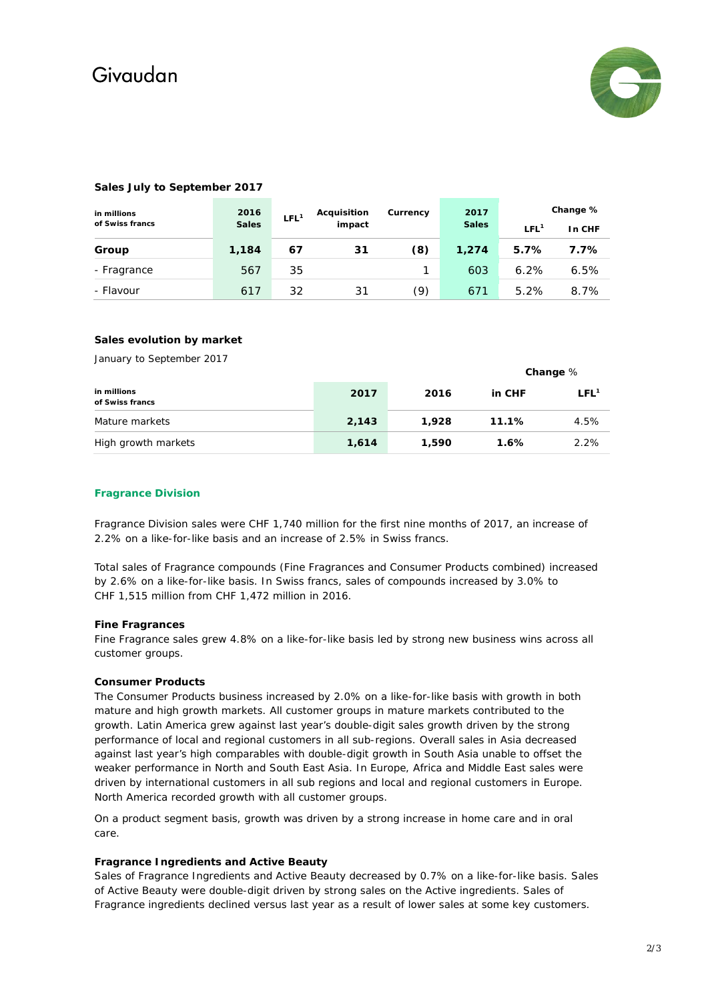# Givaudan



#### **in millions of Swiss francs 2016 Sales LFL<sup>1</sup> Acquisition impact Currency 2017 Sales Change % LFL<sup>1</sup> In CHF Group 1,184 67 31 (8) 1,274 5.7% 7.7%** Fragrance 567 35 1 603 6.2% 6.5% - Flavour 617 32 31 (9) 671 5.2% 8.7%

#### **Sales July to September 2017**

#### **Sales evolution by market**

January to September 2017

|                                |       |       |         | Change $%$       |
|--------------------------------|-------|-------|---------|------------------|
| in millions<br>of Swiss francs | 2017  | 2016  | in CHF  | LFL <sup>1</sup> |
| Mature markets                 | 2.143 | 1,928 | 11.1%   | 4.5%             |
| High growth markets            | 1,614 | 1,590 | $1.6\%$ | 2.2%             |

#### **Fragrance Division**

Fragrance Division sales were CHF 1,740 million for the first nine months of 2017, an increase of 2.2% on a like-for-like basis and an increase of 2.5% in Swiss francs.

Total sales of Fragrance compounds (Fine Fragrances and Consumer Products combined) increased by 2.6% on a like-for-like basis. In Swiss francs, sales of compounds increased by 3.0% to CHF 1,515 million from CHF 1,472 million in 2016.

#### **Fine Fragrances**

Fine Fragrance sales grew 4.8% on a like-for-like basis led by strong new business wins across all customer groups.

#### **Consumer Products**

The Consumer Products business increased by 2.0% on a like-for-like basis with growth in both mature and high growth markets. All customer groups in mature markets contributed to the growth. Latin America grew against last year's double-digit sales growth driven by the strong performance of local and regional customers in all sub-regions. Overall sales in Asia decreased against last year's high comparables with double-digit growth in South Asia unable to offset the weaker performance in North and South East Asia. In Europe, Africa and Middle East sales were driven by international customers in all sub regions and local and regional customers in Europe. North America recorded growth with all customer groups.

On a product segment basis, growth was driven by a strong increase in home care and in oral care.

#### **Fragrance Ingredients and Active Beauty**

Sales of Fragrance Ingredients and Active Beauty decreased by 0.7% on a like-for-like basis. Sales of Active Beauty were double-digit driven by strong sales on the Active ingredients. Sales of Fragrance ingredients declined versus last year as a result of lower sales at some key customers.